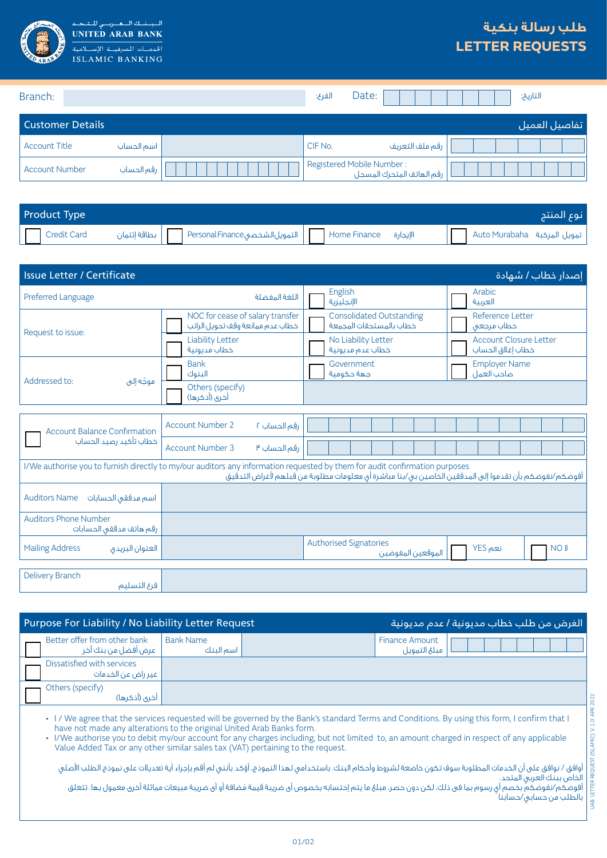

 $\overline{\mathbf{u}}$ .<br>بناك <mark>النباه</mark> بيان  $\mathbf{I}$ **UNITED ARAB BANK** الخدمسات المصرفيسة الإسد **ISLAMIC BANKING** 

## **طلب رسالة بنكية LETTER REQUESTS**

| Branch:                 |            | الفرع:                    | Date: |                           | التاريخ:      |
|-------------------------|------------|---------------------------|-------|---------------------------|---------------|
| <b>Customer Details</b> |            |                           |       |                           | تفاصيل العميل |
| <b>Account Title</b>    | اسم الحساب | CIF No.                   |       | رقم ملف التعريف           |               |
| <b>Account Number</b>   | رقم الحساب | Registered Mobile Number: |       | رقم الهاتف المتحرك المسجل |               |

| <b>Product Type</b> |  |  |  |  | نوع المنتج |
|---------------------|--|--|--|--|------------|
| $\Box$ Credit Card  |  |  |  |  |            |

| Issue Letter / Certificate<br>إصدار خطاب / شهادة        |                                                                                                                                                                                                                                      |                                                            |                                                    |  |  |  |
|---------------------------------------------------------|--------------------------------------------------------------------------------------------------------------------------------------------------------------------------------------------------------------------------------------|------------------------------------------------------------|----------------------------------------------------|--|--|--|
| Preferred Language<br>اللغة المفضلة                     |                                                                                                                                                                                                                                      | English<br>الإنجليزية                                      | Arabic<br>العربية                                  |  |  |  |
| Request to issue:                                       | NOC for cease of salary transfer<br>خطاب عدم ممانعة وقف تحويل الراتب                                                                                                                                                                 | <b>Consolidated Outstanding</b><br>خطاب بالمستحقات المجمعة | Reference Letter<br>خطاب مرجعي                     |  |  |  |
|                                                         | <b>Liability Letter</b><br>خطاب مديونية                                                                                                                                                                                              | No Liability Letter<br>خطاب عدم مديونية                    | <b>Account Closure Letter</b><br>خطاب إغلاق الحساب |  |  |  |
| Addressed to:<br>موجّه إلى                              | <b>Bank</b><br>البنوك                                                                                                                                                                                                                | Government<br>حهة حكومية                                   | <b>Employer Name</b><br>صاحب العمل                 |  |  |  |
|                                                         | Others (specify)<br>أخرى (أذكرها)                                                                                                                                                                                                    |                                                            |                                                    |  |  |  |
|                                                         |                                                                                                                                                                                                                                      |                                                            |                                                    |  |  |  |
| <b>Account Balance Confirmation</b>                     | <b>Account Number 2</b><br>رقم الحساب ٢                                                                                                                                                                                              |                                                            |                                                    |  |  |  |
| خطاب تأكيد رصيد الحساب                                  | <b>Account Number 3</b><br>رقم الحساب ٣                                                                                                                                                                                              |                                                            |                                                    |  |  |  |
|                                                         | I/We authorise you to furnish directly to my/our auditors any information requested by them for audit confirmation purposes<br>أفوضكم/نفوضكم بأن تقدموا إلى المدققين الخاصين بى/بنا مباشرة أى معلومات مطلوبة من قبلهم لأغراض التدقيق |                                                            |                                                    |  |  |  |
| <b>Auditors Name</b><br>اسم مدققى الحسابات              |                                                                                                                                                                                                                                      |                                                            |                                                    |  |  |  |
| <b>Auditors Phone Number</b><br>رقم هاتف مدققى الحسابات |                                                                                                                                                                                                                                      |                                                            |                                                    |  |  |  |
| <b>Mailing Address</b><br>العنوان البريدى               |                                                                                                                                                                                                                                      | <b>Authorised Signatories</b><br>الموقعين المفوضين         | نعم YES<br><b>NOJ</b>                              |  |  |  |
|                                                         |                                                                                                                                                                                                                                      |                                                            |                                                    |  |  |  |
| <b>Delivery Branch</b><br>فرع التسليم                   |                                                                                                                                                                                                                                      |                                                            |                                                    |  |  |  |

| <b>Purpose For Liability / No Liability Letter Request</b> |                               |                                       | الغرض من طلب خطاب مديونية / عدم مديونية |
|------------------------------------------------------------|-------------------------------|---------------------------------------|-----------------------------------------|
| Better offer from other bank<br>عرض آفضل من بنك آخر        | <b>Bank Name</b><br>اسم البنك | <b>Finance Amount</b><br>مبلغ التمويل |                                         |
| Dissatisfied with services<br>غير راض عن الخدمات           |                               |                                       |                                         |
| Others (specify)<br>أخرى (أذكرها)                          |                               |                                       |                                         |

• I / We agree that the services requested will be governed by the Bank's standard Terms and Conditions. By using this form, I confirm that I have not made any alterations to the original United Arab Banks form.

• I/We authorise you to debit my/our account for any charges including, but not limited to, an amount charged in respect of any applicable Value Added Tax or any other similar sales tax (VAT) pertaining to the request.

أوافق / نوافق على أن الخدمات المطلوبة سوف تكون خاضعة لشروط وأحكام البنك. باستخدامى لهذا النموذج، أؤكد بأننى لم أقم بإجراء أية تعديلات على نموذج الطلب الأصلى الخاص ببنك العربي المتحد. أفوضكم/نفوضكم بخصم أي رسوم بما في ذلك، لكن دون حصر، مبلغ ما يتم إحتسابه بخصوص أي ضريبة قيمة مُضافة أو أي ضريبة مبيعات مماثلة أخرى معمول بها. تتعلق بالطلب من حسابي/حسابنا